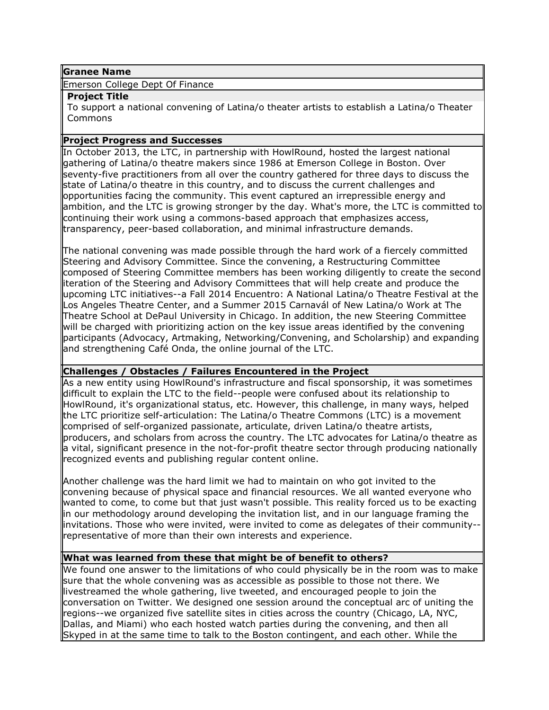## **Granee Name**

Emerson College Dept Of Finance

## **Project Title**

To support a national convening of Latina/o theater artists to establish a Latina/o Theater Commons

## **Project Progress and Successes**

In October 2013, the LTC, in partnership with HowlRound, hosted the largest national gathering of Latina/o theatre makers since 1986 at Emerson College in Boston. Over seventy-five practitioners from all over the country gathered for three days to discuss the state of Latina/o theatre in this country, and to discuss the current challenges and opportunities facing the community. This event captured an irrepressible energy and ambition, and the LTC is growing stronger by the day. What's more, the LTC is committed to continuing their work using a commons-based approach that emphasizes access, transparency, peer-based collaboration, and minimal infrastructure demands.

The national convening was made possible through the hard work of a fiercely committed Steering and Advisory Committee. Since the convening, a Restructuring Committee composed of Steering Committee members has been working diligently to create the second iteration of the Steering and Advisory Committees that will help create and produce the upcoming LTC initiatives--a Fall 2014 Encuentro: A National Latina/o Theatre Festival at the Los Angeles Theatre Center, and a Summer 2015 Carnavál of New Latina/o Work at The Theatre School at DePaul University in Chicago. In addition, the new Steering Committee will be charged with prioritizing action on the key issue areas identified by the convening participants (Advocacy, Artmaking, Networking/Convening, and Scholarship) and expanding and strengthening Café Onda, the online journal of the LTC.

## **Challenges / Obstacles / Failures Encountered in the Project**

As a new entity using HowlRound's infrastructure and fiscal sponsorship, it was sometimes difficult to explain the LTC to the field--people were confused about its relationship to HowlRound, it's organizational status, etc. However, this challenge, in many ways, helped the LTC prioritize self-articulation: The Latina/o Theatre Commons (LTC) is a movement comprised of self-organized passionate, articulate, driven Latina/o theatre artists, producers, and scholars from across the country. The LTC advocates for Latina/o theatre as a vital, significant presence in the not-for-profit theatre sector through producing nationally recognized events and publishing regular content online.

Another challenge was the hard limit we had to maintain on who got invited to the convening because of physical space and financial resources. We all wanted everyone who wanted to come, to come but that just wasn't possible. This reality forced us to be exacting in our methodology around developing the invitation list, and in our language framing the invitations. Those who were invited, were invited to come as delegates of their community- representative of more than their own interests and experience.

# **What was learned from these that might be of benefit to others?**

We found one answer to the limitations of who could physically be in the room was to make sure that the whole convening was as accessible as possible to those not there. We livestreamed the whole gathering, live tweeted, and encouraged people to join the conversation on Twitter. We designed one session around the conceptual arc of uniting the regions--we organized five satellite sites in cities across the country (Chicago, LA, NYC, Dallas, and Miami) who each hosted watch parties during the convening, and then all Skyped in at the same time to talk to the Boston contingent, and each other. While the